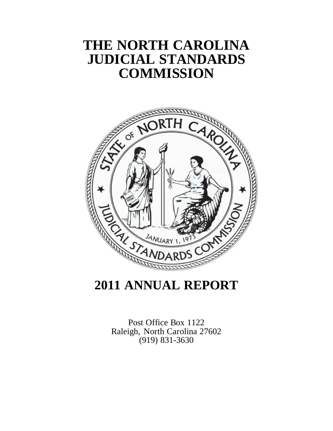# **THE NORTH CAROLINA JUDICIAL STANDARDS COMMISSION**



# **2011 ANNUAL REPORT**

Post Office Box 1122 Raleigh, North Carolina 27602 (919) 831-3630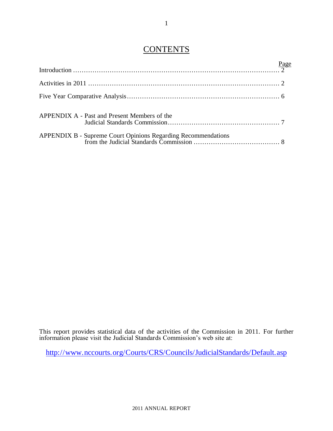## **CONTENTS**

| APPENDIX A - Past and Present Members of the |  |
|----------------------------------------------|--|
|                                              |  |

This report provides statistical data of the activities of the Commission in 2011. For further information please visit the Judicial Standards Commission's web site at:

<http://www.nccourts.org/Courts/CRS/Councils/JudicialStandards/Default.asp>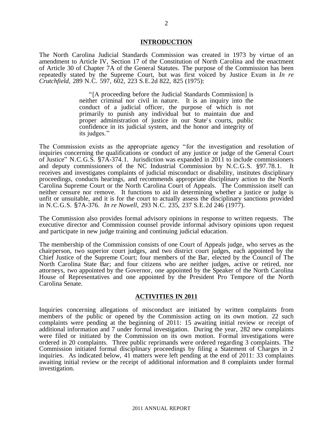#### **INTRODUCTION**

The North Carolina Judicial Standards Commission was created in 1973 by virtue of an amendment to Article IV, Section 17 of the Constitution of North Carolina and the enactment of Article 30 of Chapter 7A of the General Statutes. The purpose of the Commission has been repeatedly stated by the Supreme Court, but was first voiced by Justice Exum in *In re Crutchfield*, 289 N.C. 597, 602, 223 S.E.2d 822, 825 (1975):

> "[A proceeding before the Judicial Standards Commission] is neither criminal nor civil in nature. It is an inquiry into the conduct of a judicial officer, the purpose of which is not primarily to punish any individual but to maintain due and proper administration of justice in our State's courts, public confidence in its judicial system, and the honor and integrity of its judges."

The Commission exists as the appropriate agency "for the investigation and resolution of inquiries concerning the qualifications or conduct of any justice or judge of the General Court of Justice" N.C.G.S. §7A-374.1. Jurisdiction was expanded in 2011 to include commissioners and deputy commissioners of the NC Industrial Commission by N.C.G.S. §97.78.1. It receives and investigates complaints of judicial misconduct or disability, institutes disciplinary proceedings, conducts hearings, and recommends appropriate disciplinary action to the North Carolina Supreme Court or the North Carolina Court of Appeals. The Commission itself can neither censure nor remove. It functions to aid in determining whether a justice or judge is unfit or unsuitable, and it is for the court to actually assess the disciplinary sanctions provided in N.C.G.S. §7A-376. *In re Nowell*, 293 N.C. 235, 237 S.E.2d 246 (1977).

The Commission also provides formal advisory opinions in response to written requests. The executive director and Commission counsel provide informal advisory opinions upon request and participate in new judge training and continuing judicial education.

The membership of the Commission consists of one Court of Appeals judge, who serves as the chairperson, two superior court judges, and two district court judges, each appointed by the Chief Justice of the Supreme Court; four members of the Bar, elected by the Council of The North Carolina State Bar; and four citizens who are neither judges, active or retired, nor attorneys, two appointed by the Governor, one appointed by the Speaker of the North Carolina House of Representatives and one appointed by the President Pro Tempore of the North Carolina Senate.

#### **ACTIVITIES IN 2011**

Inquiries concerning allegations of misconduct are initiated by written complaints from members of the public or opened by the Commission acting on its own motion. 22 such complaints were pending at the beginning of 2011: 15 awaiting initial review or receipt of additional information and 7 under formal investigation. During the year, 282 new complaints were filed or initiated by the Commission on its own motion. Formal investigations were ordered in 20 complaints. Three public reprimands were ordered regarding 3 complaints. The Commission initiated formal disciplinary proceedings by filing a Statement of Charges in 2 inquiries. As indicated below, 41 matters were left pending at the end of 2011: 33 complaints awaiting initial review or the receipt of additional information and 8 complaints under formal investigation.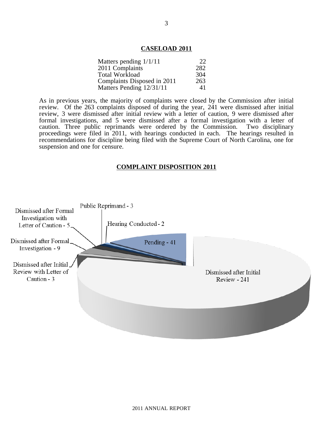#### **CASELOAD 2011**

| Matters pending $1/1/11$    | 22  |
|-----------------------------|-----|
| 2011 Complaints             | 282 |
| <b>Total Workload</b>       | 304 |
| Complaints Disposed in 2011 | 263 |
| Matters Pending 12/31/11    | 41  |

As in previous years, the majority of complaints were closed by the Commission after initial review. Of the 263 complaints disposed of during the year, 241 were dismissed after initial review, 3 were dismissed after initial review with a letter of caution, 9 were dismissed after formal investigations, and 5 were dismissed after a formal investigation with a letter of caution. Three public reprimands were ordered by the Commission. Two disciplinary caution. Three public reprimands were ordered by the Commission. proceedings were filed in 2011, with hearings conducted in each. The hearings resulted in recommendations for discipline being filed with the Supreme Court of North Carolina, one for suspension and one for censure.

#### **COMPLAINT DISPOSITION 2011**

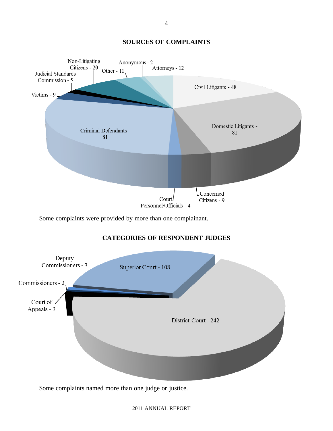### **SOURCES OF COMPLAINTS**



Some complaints were provided by more than one complainant.

### **CATEGORIES OF RESPONDENT JUDGES**



Some complaints named more than one judge or justice.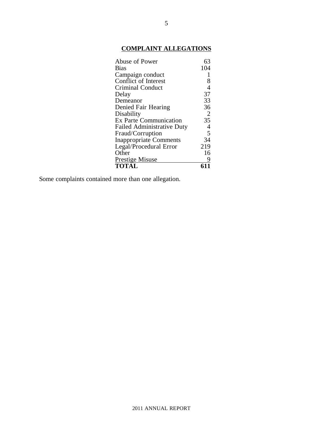## **COMPLAINT ALLEGATIONS**

| Abuse of Power                    | 63             |
|-----------------------------------|----------------|
| <b>Bias</b>                       | 104            |
| Campaign conduct                  | $\mathbf{1}$   |
| <b>Conflict of Interest</b>       | 8              |
| <b>Criminal Conduct</b>           | $\overline{4}$ |
| Delay                             | 37             |
| Demeanor                          | 33             |
| Denied Fair Hearing               | 36             |
| Disability                        | 2              |
| <b>Ex Parte Communication</b>     | 35             |
| <b>Failed Administrative Duty</b> | $\overline{4}$ |
| Fraud/Corruption                  | $\overline{5}$ |
| <b>Inappropriate Comments</b>     | 34             |
| Legal/Procedural Error            | 219            |
| Other                             | 16             |
| <b>Prestige Misuse</b>            | 9              |
| <b>TOTAL</b>                      |                |

Some complaints contained more than one allegation.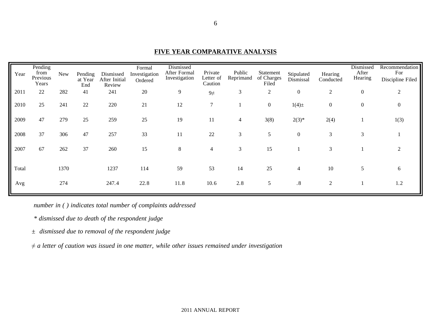| Year  | Pending<br>from<br>Previous<br>Years | <b>New</b> | Pending<br>at Year<br>End | Dismissed<br>After Initial<br>Review | Formal<br>Investigation<br>Ordered | Dismissed<br>After Formal<br>Investigation | Private<br>Letter of<br>Caution | Public<br>Reprimand | Statement<br>of Charges<br>Filed | Stipulated<br>Dismissal | Hearing<br>Conducted | Dismissed<br>After<br>Hearing | Recommendation<br>For<br>Discipline Filed |
|-------|--------------------------------------|------------|---------------------------|--------------------------------------|------------------------------------|--------------------------------------------|---------------------------------|---------------------|----------------------------------|-------------------------|----------------------|-------------------------------|-------------------------------------------|
| 2011  | 22                                   | 282        | 41                        | 241                                  | 20                                 | 9                                          | $9\neq$                         | 3                   | $\boldsymbol{2}$                 | $\boldsymbol{0}$        | $\overline{2}$       | $\boldsymbol{0}$              | 2                                         |
| 2010  | 25                                   | 241        | 22                        | 220                                  | 21                                 | 12                                         | $\overline{7}$                  |                     | $\overline{0}$                   | $1(4) \pm$              | $\boldsymbol{0}$     | 0                             | $\mathbf{0}$                              |
| 2009  | 47                                   | 279        | 25                        | 259                                  | 25                                 | 19                                         | 11                              | 4                   | 3(8)                             | $2(3)*$                 | 2(4)                 |                               | 1(3)                                      |
| 2008  | 37                                   | 306        | 47                        | 257                                  | 33                                 | 11                                         | 22                              | 3                   | 5                                | $\boldsymbol{0}$        | 3                    | 3                             |                                           |
| 2007  | 67                                   | 262        | 37                        | 260                                  | 15                                 | 8                                          | $\overline{4}$                  | 3                   | 15                               |                         | 3                    |                               | 2                                         |
| Total |                                      | 1370       |                           | 1237                                 | 114                                | 59                                         | 53                              | 14                  | 25                               | $\overline{4}$          | $10\,$               | 5                             | 6                                         |
| Avg   |                                      | 274        |                           | 247.4                                | 22.8                               | 11.8                                       | 10.6                            | 2.8                 | 5                                | .8                      | $\overline{2}$       |                               | 1.2                                       |

**FIVE YEAR COMPARATIVE ANALYSIS**

*number in ( ) indicates total number of complaints addressed*

*\* dismissed due to death of the respondent judge*

*± dismissed due to removal of the respondent judge*

*≠ a letter of caution was issued in one matter, while other issues remained under investigation*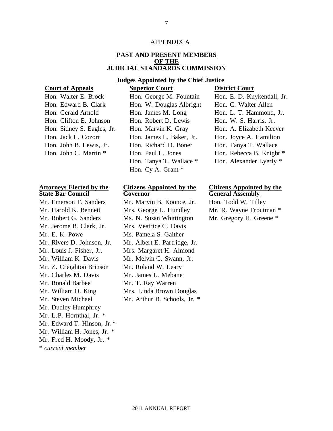#### APPENDIX A

#### **PAST AND PRESENT MEMBERS OF THE JUDICIAL STANDARDS COMMISSION**

#### **Judges Appointed by the Chief Justice**

**Court of Appeals Superior Court District Court**

| Hon. Walter E. Brock       |
|----------------------------|
| Hon. Edward B. Clark       |
| Hon. Gerald Arnold         |
| Hon. Clifton E. Johnson    |
| Hon. Sidney S. Eagles, Jr. |
| Hon. Jack L. Cozort        |
| Hon. John B. Lewis, Jr.    |
| Hon. John C. Martin *      |
|                            |

#### **Attorneys Elected by the State Bar Council**

\* *current member* Mr. Jerome B. Clark, Jr. Mrs. Veatrice C. Davis Mr. E. K. Powe Ms. Pamela S. Gaither Mr. William K. Davis Mr. Melvin C. Swann, Jr. Mr. Z. Creighton Brinson Mr. Roland W. Leary Mr. Charles M. Davis Mr. James L. Mebane Mr. Ronald Barbee Mr. T. Ray Warren Mr. William O. King Mr. Steven Michael Mr. Dudley Humphrey Mr. L.P. Hornthal, Jr. \* Mr. Edward T. Hinson, Jr.\* Mr. William H. Jones, Jr. \* Mr. Fred H. Moody, Jr. \*

| Hon. Walter E. Brock       | Hon. George M. Fountain  | Hon. E. D. Kuykendall, Jr. |
|----------------------------|--------------------------|----------------------------|
| Hon. Edward B. Clark       | Hon. W. Douglas Albright | Hon. C. Walter Allen       |
| Hon. Gerald Arnold         | Hon. James M. Long       | Hon. L. T. Hammond, Jr.    |
| Hon. Clifton E. Johnson    | Hon. Robert D. Lewis     | Hon. W. S. Harris, Jr.     |
| Hon. Sidney S. Eagles, Jr. | Hon. Marvin K. Gray      | Hon. A. Elizabeth Keever   |
| Hon. Jack L. Cozort        | Hon. James L. Baker, Jr. | Hon. Joyce A. Hamilton     |
| Hon. John B. Lewis, Jr.    | Hon. Richard D. Boner    | Hon. Tanya T. Wallace      |
| Hon. John C. Martin *      | Hon. Paul L. Jones       | Hon. Rebecca B. Knight *   |
|                            | Hon. Tanya T. Wallace *  | Hon. Alexander Lyerly *    |
|                            | Hon. Cy A. Grant *       |                            |

### **Citizens Appointed by the Governor**

Mr. Emerson T. Sanders Mr. Marvin B. Koonce, Jr. Hon. Todd W. Tilley Mr. Harold K. Bennett Mrs. George L. Hundley Mr. R. Wayne Troutman \* Mr. Robert G. Sanders Ms. N. Susan Whittington Mr. Gregory H. Greene \* Mr. Rivers D. Johnson, Jr. Mr. Albert E. Partridge, Jr. Mr. Louis J. Fisher, Jr. Mrs. Margaret H. Almond Mrs. Linda Brown Douglas Mr. Arthur B. Schools, Jr. \*

#### **Citizens Appointed by the General Assembly**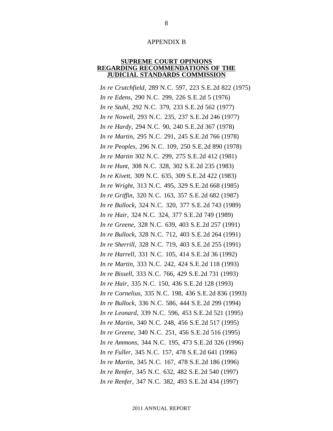#### APPENDIX B

#### **SUPREME COURT OPINIONS REGARDING RECOMMENDATIONS OF THE JUDICIAL STANDARDS COMMISSION**

*In re Crutchfield*, 289 N.C. 597, 223 S.E.2d 822 (1975) *In re Edens*, 290 N.C. 299, 226 S.E.2d 5 (1976) *In re Stuhl*, 292 N.C. 379, 233 S.E.2d 562 (1977) *In re Nowell*, 293 N.C. 235, 237 S.E.2d 246 (1977) *In re Hardy*, 294 N.C. 90, 240 S.E.2d 367 (1978) *In re Martin*, 295 N.C. 291, 245 S.E.2d 766 (1978) *In re Peoples*, 296 N.C. 109, 250 S.E.2d 890 (1978) *In re Martin* 302 N.C. 299, 275 S.E.2d 412 (1981) *In re Hunt*, 308 N.C. 328, 302 S.E.2d 235 (1983) *In re Kivett*, 309 N.C. 635, 309 S.E.2d 422 (1983) *In re Wright*, 313 N.C. 495, 329 S.E.2d 668 (1985) *In re Griffin*, 320 N.C. 163, 357 S.E.2d 682 (1987) *In re Bullock*, 324 N.C. 320, 377 S.E.2d 743 (1989) *In re Hair*, 324 N.C. 324, 377 S.E.2d 749 (1989) *In re Greene*, 328 N.C. 639, 403 S.E.2d 257 (1991) *In re Bullock*, 328 N.C. 712, 403 S.E.2d 264 (1991) *In re Sherrill*, 328 N.C. 719, 403 S.E.2d 255 (1991) *In re Harrell*, 331 N.C. 105, 414 S.E.2d 36 (1992) *In re Martin*, 333 N.C. 242, 424 S.E.2d 118 (1993) *In re Bissell*, 333 N.C. 766, 429 S.E.2d 731 (1993) *In re Hair*, 335 N.C. 150, 436 S.E.2d 128 (1993) *In re Cornelius*, 335 N.C. 198, 436 S.E.2d 836 (1993) *In re Bullock*, 336 N.C. 586, 444 S.E.2d 299 (1994) *In re Leonard*, 339 N.C. 596, 453 S.E.2d 521 (1995) *In re Martin*, 340 N.C. 248, 456 S.E.2d 517 (1995) *In re Greene*, 340 N.C. 251, 456 S.E.2d 516 (1995) *In re Ammons*, 344 N.C. 195, 473 S.E.2d 326 (1996) *In re Fuller*, 345 N.C. 157, 478 S.E.2d 641 (1996) *In re Martin*, 345 N.C. 167, 478 S.E.2d 186 (1996) *In re Renfer*, 345 N.C. 632, 482 S.E.2d 540 (1997) *In re Renfer*, 347 N.C. 382, 493 S.E.2d 434 (1997)